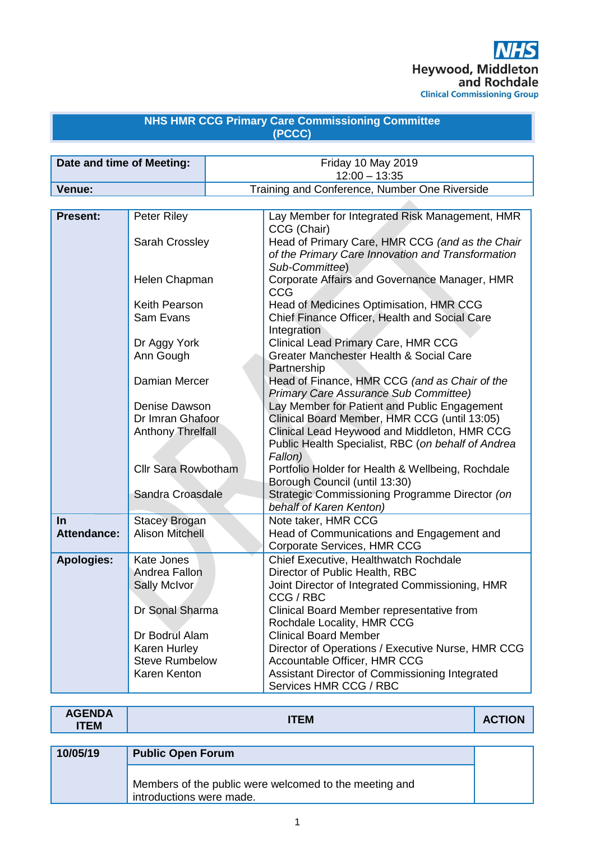

#### **NHS HMR CCG Primary Care Commissioning Committee (PCCC)**

| Date and time of Meeting: | <b>Friday 10 May 2019</b><br>$12:00 - 13:35$  |
|---------------------------|-----------------------------------------------|
| <b>Venue:</b>             | Training and Conference, Number One Riverside |
|                           |                                               |

| <b>Present:</b>    | Peter Riley                    | Lay Member for Integrated Risk Management, HMR<br>CCG (Chair)                     |
|--------------------|--------------------------------|-----------------------------------------------------------------------------------|
|                    | Sarah Crossley                 | Head of Primary Care, HMR CCG (and as the Chair                                   |
|                    |                                | of the Primary Care Innovation and Transformation                                 |
|                    |                                | Sub-Committee)                                                                    |
|                    | Helen Chapman                  | Corporate Affairs and Governance Manager, HMR                                     |
|                    |                                | CCG                                                                               |
|                    | Keith Pearson                  | Head of Medicines Optimisation, HMR CCG                                           |
|                    | Sam Evans                      | Chief Finance Officer, Health and Social Care                                     |
|                    |                                | Integration                                                                       |
|                    | Dr Aggy York                   | <b>Clinical Lead Primary Care, HMR CCG</b>                                        |
|                    | Ann Gough                      | Greater Manchester Health & Social Care                                           |
|                    |                                | Partnership                                                                       |
|                    | Damian Mercer                  | Head of Finance, HMR CCG (and as Chair of the                                     |
|                    |                                | <b>Primary Care Assurance Sub Committee)</b>                                      |
|                    | Denise Dawson                  | Lay Member for Patient and Public Engagement                                      |
|                    | Dr Imran Ghafoor               | Clinical Board Member, HMR CCG (until 13:05)                                      |
|                    | <b>Anthony Threlfall</b>       | Clinical Lead Heywood and Middleton, HMR CCG                                      |
|                    |                                | Public Health Specialist, RBC (on behalf of Andrea                                |
|                    |                                | Fallon)                                                                           |
|                    | <b>Cllr Sara Rowbotham</b>     | Portfolio Holder for Health & Wellbeing, Rochdale                                 |
|                    |                                | Borough Council (until 13:30)                                                     |
|                    | Sandra Croasdale               | Strategic Commissioning Programme Director (on                                    |
|                    |                                | behalf of Karen Kenton)                                                           |
| <b>In</b>          | <b>Stacey Brogan</b>           | Note taker, HMR CCG                                                               |
| <b>Attendance:</b> | <b>Alison Mitchell</b>         | Head of Communications and Engagement and                                         |
|                    |                                | Corporate Services, HMR CCG                                                       |
| <b>Apologies:</b>  | Kate Jones                     | Chief Executive, Healthwatch Rochdale                                             |
|                    | Andrea Fallon                  | Director of Public Health, RBC                                                    |
|                    | Sally McIvor                   | Joint Director of Integrated Commissioning, HMR                                   |
|                    |                                | CCG / RBC                                                                         |
|                    | Dr Sonal Sharma                | Clinical Board Member representative from                                         |
|                    |                                | Rochdale Locality, HMR CCG                                                        |
|                    | Dr Bodrul Alam<br>Karen Hurley | <b>Clinical Board Member</b><br>Director of Operations / Executive Nurse, HMR CCG |
|                    | <b>Steve Rumbelow</b>          | Accountable Officer, HMR CCG                                                      |
|                    | Karen Kenton                   | Assistant Director of Commissioning Integrated                                    |
|                    |                                | Services HMR CCG / RBC                                                            |
|                    |                                |                                                                                   |

| <b>AGENDA</b><br><b>ITEM</b> | <b>ITEM</b>                                                                        |  |
|------------------------------|------------------------------------------------------------------------------------|--|
|                              |                                                                                    |  |
| 10/05/19                     | <b>Public Open Forum</b>                                                           |  |
|                              | Members of the public were welcomed to the meeting and<br>introductions were made. |  |

'n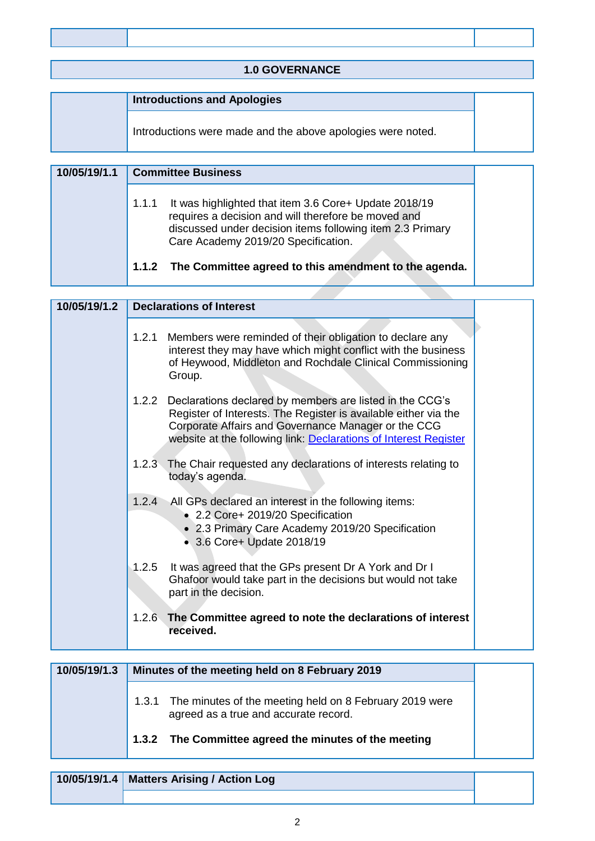| <b>1.0 GOVERNANCE</b> |
|-----------------------|
|-----------------------|

| <b>Introductions and Apologies</b>                          |  |
|-------------------------------------------------------------|--|
| Introductions were made and the above apologies were noted. |  |

| 10/05/19/1.1 | <b>Committee Business</b> |                                                                                                                                                                                                                  |  |
|--------------|---------------------------|------------------------------------------------------------------------------------------------------------------------------------------------------------------------------------------------------------------|--|
|              | 1.1.1                     | It was highlighted that item 3.6 Core+ Update 2018/19<br>requires a decision and will therefore be moved and<br>discussed under decision items following item 2.3 Primary<br>Care Academy 2019/20 Specification. |  |
|              |                           | 1.1.2 The Committee agreed to this amendment to the agenda.                                                                                                                                                      |  |

| 10/05/19/1.2 | <b>Declarations of Interest</b>                                                                                                                                                                                                                              |  |
|--------------|--------------------------------------------------------------------------------------------------------------------------------------------------------------------------------------------------------------------------------------------------------------|--|
|              |                                                                                                                                                                                                                                                              |  |
|              | Members were reminded of their obligation to declare any<br>1.2.1<br>interest they may have which might conflict with the business<br>of Heywood, Middleton and Rochdale Clinical Commissioning<br>Group.                                                    |  |
|              | 1.2.2 Declarations declared by members are listed in the CCG's<br>Register of Interests. The Register is available either via the<br>Corporate Affairs and Governance Manager or the CCG<br>website at the following link: Declarations of Interest Register |  |
|              | The Chair requested any declarations of interests relating to<br>1.2.3<br>today's agenda.                                                                                                                                                                    |  |
|              | 1.2.4 All GPs declared an interest in the following items:<br>• 2.2 Core+ 2019/20 Specification<br>• 2.3 Primary Care Academy 2019/20 Specification<br>• 3.6 Core+ Update 2018/19                                                                            |  |
|              | 1.2.5<br>It was agreed that the GPs present Dr A York and Dr I<br>Ghafoor would take part in the decisions but would not take<br>part in the decision.                                                                                                       |  |
|              | The Committee agreed to note the declarations of interest<br>1.2.6<br>received.                                                                                                                                                                              |  |

| 10/05/19/1.3 |       | Minutes of the meeting held on 8 February 2019                                                   |  |  |
|--------------|-------|--------------------------------------------------------------------------------------------------|--|--|
|              | 1.3.1 | The minutes of the meeting held on 8 February 2019 were<br>agreed as a true and accurate record. |  |  |
|              | 1.3.2 | The Committee agreed the minutes of the meeting                                                  |  |  |

| 10/05/19/1.4   Matters Arising / Action Log |  |  |  |  |
|---------------------------------------------|--|--|--|--|
|                                             |  |  |  |  |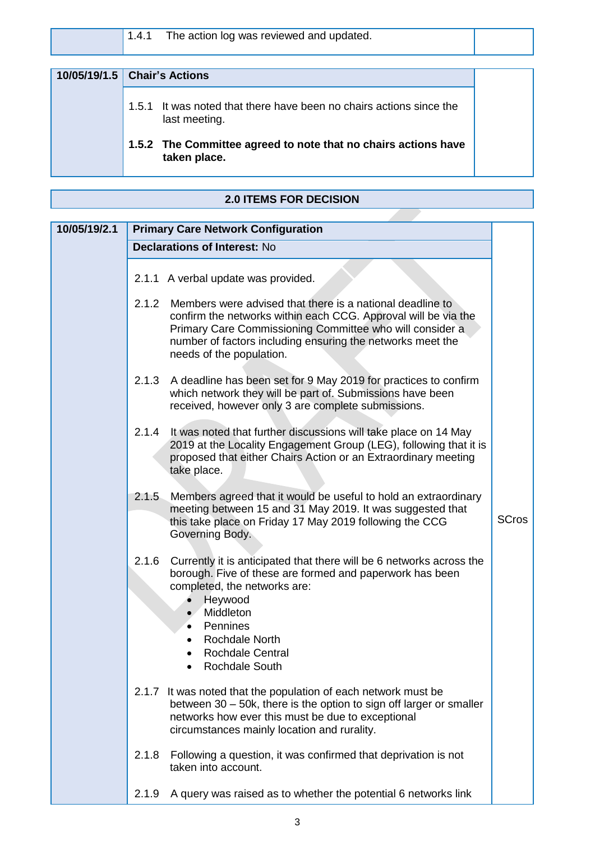| 10/05/19/1.5 Chair's Actions                                                         |
|--------------------------------------------------------------------------------------|
| 1.5.1 It was noted that there have been no chairs actions since the<br>last meeting. |
| 1.5.2 The Committee agreed to note that no chairs actions have<br>taken place.       |

# **2.0 ITEMS FOR DECISION**

| 10/05/19/2.1 | <b>Primary Care Network Configuration</b>                                                                                                                                        |                                                                                                                                                                                                                                                             |              |
|--------------|----------------------------------------------------------------------------------------------------------------------------------------------------------------------------------|-------------------------------------------------------------------------------------------------------------------------------------------------------------------------------------------------------------------------------------------------------------|--------------|
|              | <b>Declarations of Interest: No</b>                                                                                                                                              |                                                                                                                                                                                                                                                             |              |
|              |                                                                                                                                                                                  |                                                                                                                                                                                                                                                             |              |
|              | 2.1.1 A verbal update was provided.                                                                                                                                              |                                                                                                                                                                                                                                                             |              |
|              | needs of the population.                                                                                                                                                         | 2.1.2 Members were advised that there is a national deadline to<br>confirm the networks within each CCG. Approval will be via the<br>Primary Care Commissioning Committee who will consider a<br>number of factors including ensuring the networks meet the |              |
|              | 2.1.3                                                                                                                                                                            | A deadline has been set for 9 May 2019 for practices to confirm<br>which network they will be part of. Submissions have been<br>received, however only 3 are complete submissions.                                                                          |              |
|              | 2.1.4<br>take place.                                                                                                                                                             | It was noted that further discussions will take place on 14 May<br>2019 at the Locality Engagement Group (LEG), following that it is<br>proposed that either Chairs Action or an Extraordinary meeting                                                      |              |
|              | 2.1.5<br>Governing Body.                                                                                                                                                         | Members agreed that it would be useful to hold an extraordinary<br>meeting between 15 and 31 May 2019. It was suggested that<br>this take place on Friday 17 May 2019 following the CCG                                                                     | <b>SCros</b> |
|              | 2.1.6<br>completed, the networks are:<br>Heywood<br>Middleton<br>$\bullet$<br>Pennines<br>$\bullet$<br><b>Rochdale North</b><br><b>Rochdale Central</b><br><b>Rochdale South</b> | Currently it is anticipated that there will be 6 networks across the<br>borough. Five of these are formed and paperwork has been                                                                                                                            |              |
|              |                                                                                                                                                                                  | 2.1.7 It was noted that the population of each network must be<br>between 30 – 50k, there is the option to sign off larger or smaller<br>networks how ever this must be due to exceptional<br>circumstances mainly location and rurality.                   |              |
|              | 2.1.8<br>taken into account.                                                                                                                                                     | Following a question, it was confirmed that deprivation is not                                                                                                                                                                                              |              |
|              | 2.1.9                                                                                                                                                                            | A query was raised as to whether the potential 6 networks link                                                                                                                                                                                              |              |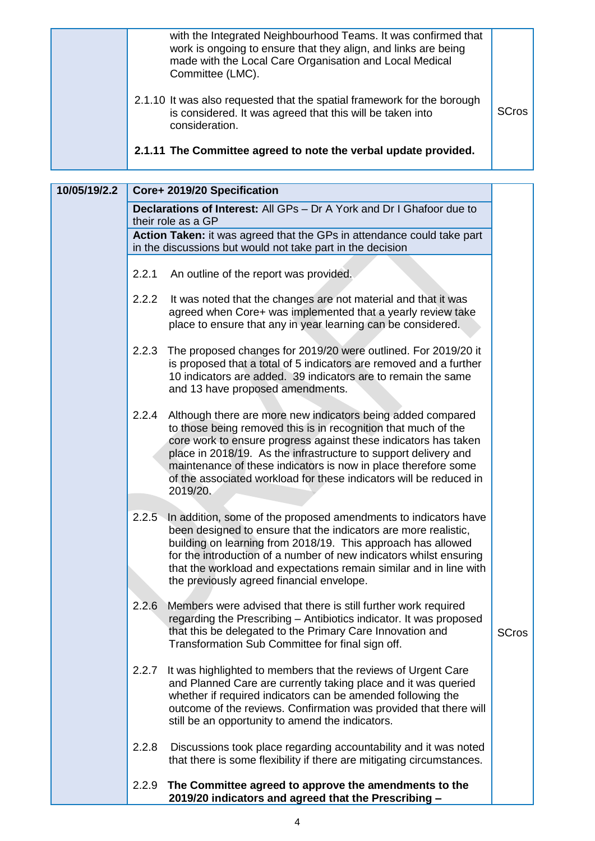| with the Integrated Neighbourhood Teams. It was confirmed that<br>work is ongoing to ensure that they align, and links are being<br>made with the Local Care Organisation and Local Medical<br>Committee (LMC). |              |
|-----------------------------------------------------------------------------------------------------------------------------------------------------------------------------------------------------------------|--------------|
| 2.1.10 It was also requested that the spatial framework for the borough<br>is considered. It was agreed that this will be taken into<br>consideration.                                                          | <b>SCros</b> |
| 2.1.11 The Committee agreed to note the verbal update provided.                                                                                                                                                 |              |

| 10/05/19/2.2 |       | Core+ 2019/20 Specification                                                                                                                                                                                                                                                                                                                                                                                             |              |
|--------------|-------|-------------------------------------------------------------------------------------------------------------------------------------------------------------------------------------------------------------------------------------------------------------------------------------------------------------------------------------------------------------------------------------------------------------------------|--------------|
|              |       | <b>Declarations of Interest: All GPs - Dr A York and Dr I Ghafoor due to</b><br>their role as a GP                                                                                                                                                                                                                                                                                                                      |              |
|              |       | Action Taken: it was agreed that the GPs in attendance could take part<br>in the discussions but would not take part in the decision                                                                                                                                                                                                                                                                                    |              |
|              |       |                                                                                                                                                                                                                                                                                                                                                                                                                         |              |
|              | 2.2.1 | An outline of the report was provided.                                                                                                                                                                                                                                                                                                                                                                                  |              |
|              | 2.2.2 | It was noted that the changes are not material and that it was<br>agreed when Core+ was implemented that a yearly review take<br>place to ensure that any in year learning can be considered.                                                                                                                                                                                                                           |              |
|              | 2.2.3 | The proposed changes for 2019/20 were outlined. For 2019/20 it<br>is proposed that a total of 5 indicators are removed and a further<br>10 indicators are added. 39 indicators are to remain the same<br>and 13 have proposed amendments.                                                                                                                                                                               |              |
|              | 2.2.4 | Although there are more new indicators being added compared<br>to those being removed this is in recognition that much of the<br>core work to ensure progress against these indicators has taken<br>place in 2018/19. As the infrastructure to support delivery and<br>maintenance of these indicators is now in place therefore some<br>of the associated workload for these indicators will be reduced in<br>2019/20. |              |
|              |       | 2.2.5 In addition, some of the proposed amendments to indicators have<br>been designed to ensure that the indicators are more realistic,<br>building on learning from 2018/19. This approach has allowed<br>for the introduction of a number of new indicators whilst ensuring<br>that the workload and expectations remain similar and in line with<br>the previously agreed financial envelope.                       |              |
|              | 2.2.6 | Members were advised that there is still further work required<br>regarding the Prescribing - Antibiotics indicator. It was proposed<br>that this be delegated to the Primary Care Innovation and<br>Transformation Sub Committee for final sign off.                                                                                                                                                                   | <b>SCros</b> |
|              | 2.2.7 | It was highlighted to members that the reviews of Urgent Care<br>and Planned Care are currently taking place and it was queried<br>whether if required indicators can be amended following the<br>outcome of the reviews. Confirmation was provided that there will<br>still be an opportunity to amend the indicators.                                                                                                 |              |
|              | 2.2.8 | Discussions took place regarding accountability and it was noted<br>that there is some flexibility if there are mitigating circumstances.                                                                                                                                                                                                                                                                               |              |
|              | 2.2.9 | The Committee agreed to approve the amendments to the<br>2019/20 indicators and agreed that the Prescribing -                                                                                                                                                                                                                                                                                                           |              |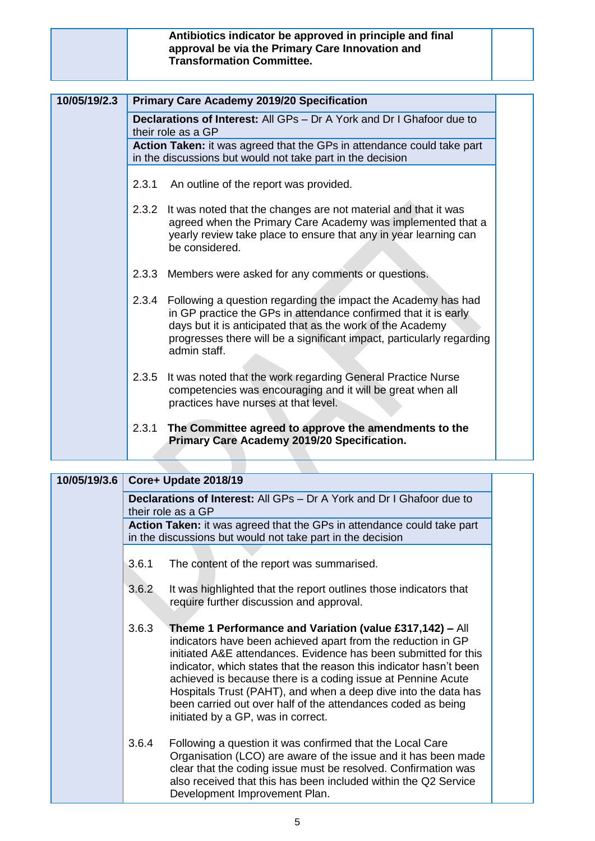#### **Antibiotics indicator be approved in principle and final approval be via the Primary Care Innovation and Transformation Committee.**

| 10/05/19/2.3 |                                                                                                    | <b>Primary Care Academy 2019/20 Specification</b>                                                                                                                                                                                                                                             |  |  |
|--------------|----------------------------------------------------------------------------------------------------|-----------------------------------------------------------------------------------------------------------------------------------------------------------------------------------------------------------------------------------------------------------------------------------------------|--|--|
|              | <b>Declarations of Interest:</b> All GPs – Dr A York and Dr I Ghafoor due to<br>their role as a GP |                                                                                                                                                                                                                                                                                               |  |  |
|              | <b>Action Taken:</b> it was agreed that the GPs in attendance could take part                      |                                                                                                                                                                                                                                                                                               |  |  |
|              |                                                                                                    | in the discussions but would not take part in the decision                                                                                                                                                                                                                                    |  |  |
|              | 2.3.1                                                                                              | An outline of the report was provided.                                                                                                                                                                                                                                                        |  |  |
|              |                                                                                                    | 2.3.2 It was noted that the changes are not material and that it was<br>agreed when the Primary Care Academy was implemented that a<br>yearly review take place to ensure that any in year learning can<br>be considered.                                                                     |  |  |
|              |                                                                                                    | 2.3.3 Members were asked for any comments or questions.                                                                                                                                                                                                                                       |  |  |
|              |                                                                                                    | 2.3.4 Following a question regarding the impact the Academy has had<br>in GP practice the GPs in attendance confirmed that it is early<br>days but it is anticipated that as the work of the Academy<br>progresses there will be a significant impact, particularly regarding<br>admin staff. |  |  |
|              | 2.3.5                                                                                              | It was noted that the work regarding General Practice Nurse<br>competencies was encouraging and it will be great when all<br>practices have nurses at that level.                                                                                                                             |  |  |
|              | 2.3.1                                                                                              | The Committee agreed to approve the amendments to the<br>Primary Care Academy 2019/20 Specification.                                                                                                                                                                                          |  |  |

| 10/05/19/3.6 | Core+ Update 2018/19                                                                                                                                                                                                                                                                                                                                                                                                                                                                                               |  |  |
|--------------|--------------------------------------------------------------------------------------------------------------------------------------------------------------------------------------------------------------------------------------------------------------------------------------------------------------------------------------------------------------------------------------------------------------------------------------------------------------------------------------------------------------------|--|--|
|              | <b>Declarations of Interest:</b> All GPs – Dr A York and Dr I Ghafoor due to<br>their role as a GP                                                                                                                                                                                                                                                                                                                                                                                                                 |  |  |
|              | <b>Action Taken:</b> it was agreed that the GPs in attendance could take part<br>in the discussions but would not take part in the decision                                                                                                                                                                                                                                                                                                                                                                        |  |  |
|              | 3.6.1<br>The content of the report was summarised.                                                                                                                                                                                                                                                                                                                                                                                                                                                                 |  |  |
|              | 3.6.2<br>It was highlighted that the report outlines those indicators that<br>require further discussion and approval.                                                                                                                                                                                                                                                                                                                                                                                             |  |  |
|              | 3.6.3<br>Theme 1 Performance and Variation (value £317,142) – All<br>indicators have been achieved apart from the reduction in GP<br>initiated A&E attendances. Evidence has been submitted for this<br>indicator, which states that the reason this indicator hasn't been<br>achieved is because there is a coding issue at Pennine Acute<br>Hospitals Trust (PAHT), and when a deep dive into the data has<br>been carried out over half of the attendances coded as being<br>initiated by a GP, was in correct. |  |  |
|              | 3.6.4<br>Following a question it was confirmed that the Local Care<br>Organisation (LCO) are aware of the issue and it has been made<br>clear that the coding issue must be resolved. Confirmation was<br>also received that this has been included within the Q2 Service<br>Development Improvement Plan.                                                                                                                                                                                                         |  |  |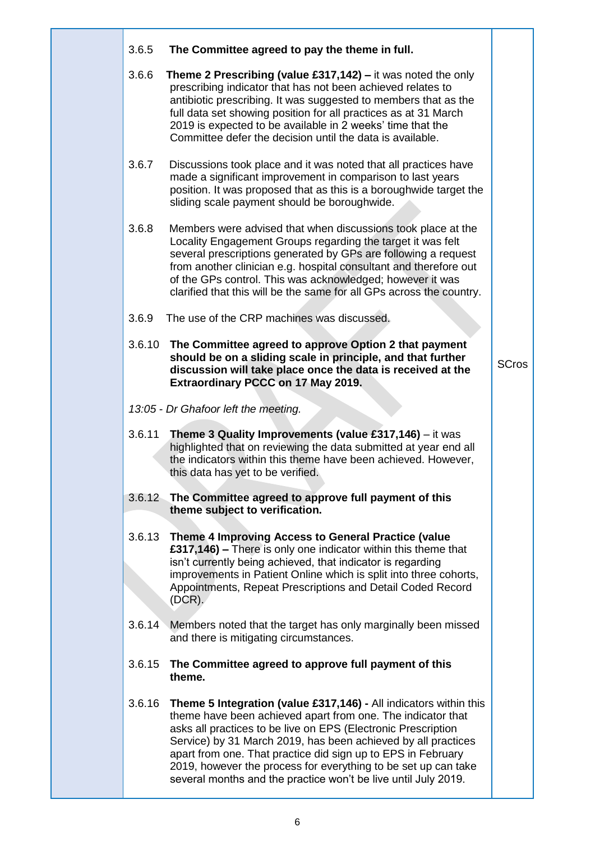| 3.6.5  | The Committee agreed to pay the theme in full.                                                                                                                                                                                                                                                                                                                                                                                                                         |              |
|--------|------------------------------------------------------------------------------------------------------------------------------------------------------------------------------------------------------------------------------------------------------------------------------------------------------------------------------------------------------------------------------------------------------------------------------------------------------------------------|--------------|
| 3.6.6  | <b>Theme 2 Prescribing (value £317,142)</b> – it was noted the only<br>prescribing indicator that has not been achieved relates to<br>antibiotic prescribing. It was suggested to members that as the<br>full data set showing position for all practices as at 31 March<br>2019 is expected to be available in 2 weeks' time that the<br>Committee defer the decision until the data is available.                                                                    |              |
| 3.6.7  | Discussions took place and it was noted that all practices have<br>made a significant improvement in comparison to last years<br>position. It was proposed that as this is a boroughwide target the<br>sliding scale payment should be boroughwide.                                                                                                                                                                                                                    |              |
| 3.6.8  | Members were advised that when discussions took place at the<br>Locality Engagement Groups regarding the target it was felt<br>several prescriptions generated by GPs are following a request<br>from another clinician e.g. hospital consultant and therefore out<br>of the GPs control. This was acknowledged; however it was<br>clarified that this will be the same for all GPs across the country.                                                                |              |
| 3.6.9  | The use of the CRP machines was discussed.                                                                                                                                                                                                                                                                                                                                                                                                                             |              |
| 3.6.10 | The Committee agreed to approve Option 2 that payment<br>should be on a sliding scale in principle, and that further<br>discussion will take place once the data is received at the<br><b>Extraordinary PCCC on 17 May 2019.</b>                                                                                                                                                                                                                                       | <b>SCros</b> |
|        | 13:05 - Dr Ghafoor left the meeting.                                                                                                                                                                                                                                                                                                                                                                                                                                   |              |
| 3.6.11 | Theme 3 Quality Improvements (value £317,146) - it was<br>highlighted that on reviewing the data submitted at year end all<br>the indicators within this theme have been achieved. However,<br>this data has yet to be verified.                                                                                                                                                                                                                                       |              |
| 3.6.12 | The Committee agreed to approve full payment of this<br>theme subject to verification.                                                                                                                                                                                                                                                                                                                                                                                 |              |
| 3.6.13 | Theme 4 Improving Access to General Practice (value<br>£317,146) – There is only one indicator within this theme that<br>isn't currently being achieved, that indicator is regarding<br>improvements in Patient Online which is split into three cohorts,<br>Appointments, Repeat Prescriptions and Detail Coded Record<br>$(DCR)$ .                                                                                                                                   |              |
| 3.6.14 | Members noted that the target has only marginally been missed<br>and there is mitigating circumstances.                                                                                                                                                                                                                                                                                                                                                                |              |
| 3.6.15 | The Committee agreed to approve full payment of this<br>theme.                                                                                                                                                                                                                                                                                                                                                                                                         |              |
| 3.6.16 | Theme 5 Integration (value £317,146) - All indicators within this<br>theme have been achieved apart from one. The indicator that<br>asks all practices to be live on EPS (Electronic Prescription<br>Service) by 31 March 2019, has been achieved by all practices<br>apart from one. That practice did sign up to EPS in February<br>2019, however the process for everything to be set up can take<br>several months and the practice won't be live until July 2019. |              |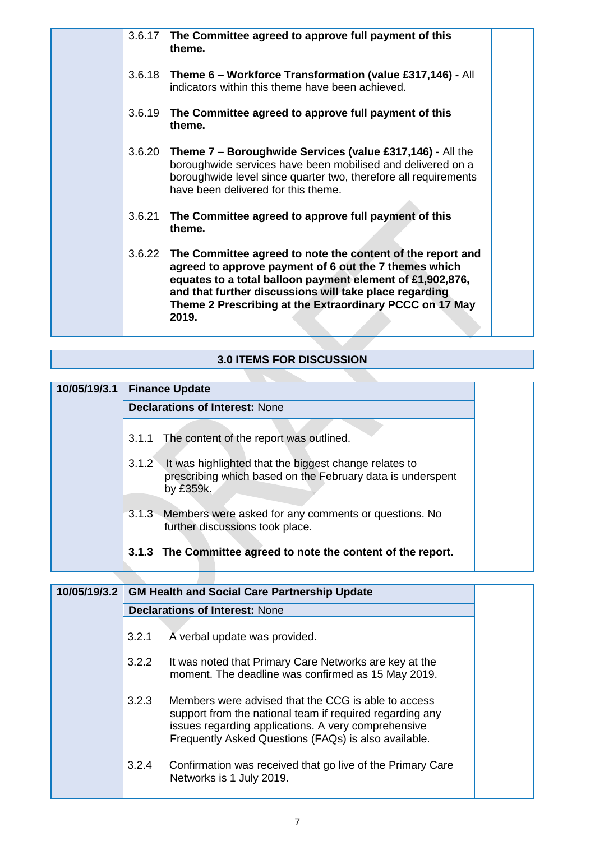| 3.6.17 | The Committee agreed to approve full payment of this<br>theme.                                                                                                                                                                                                                                                        |  |
|--------|-----------------------------------------------------------------------------------------------------------------------------------------------------------------------------------------------------------------------------------------------------------------------------------------------------------------------|--|
|        | 3.6.18 Theme 6 – Workforce Transformation (value £317,146) - All<br>indicators within this theme have been achieved.                                                                                                                                                                                                  |  |
| 3.6.19 | The Committee agreed to approve full payment of this<br>theme.                                                                                                                                                                                                                                                        |  |
| 3.6.20 | Theme 7 – Boroughwide Services (value £317,146) - All the<br>boroughwide services have been mobilised and delivered on a<br>boroughwide level since quarter two, therefore all requirements<br>have been delivered for this theme.                                                                                    |  |
| 3.6.21 | The Committee agreed to approve full payment of this<br>theme.                                                                                                                                                                                                                                                        |  |
|        | 3.6.22 The Committee agreed to note the content of the report and<br>agreed to approve payment of 6 out the 7 themes which<br>equates to a total balloon payment element of £1,902,876,<br>and that further discussions will take place regarding<br>Theme 2 Prescribing at the Extraordinary PCCC on 17 May<br>2019. |  |

### **3.0 ITEMS FOR DISCUSSION**

| 10/05/19/3.1 | <b>Finance Update</b>                                                                                                                     |  |  |
|--------------|-------------------------------------------------------------------------------------------------------------------------------------------|--|--|
|              | <b>Declarations of Interest: None</b>                                                                                                     |  |  |
|              | The content of the report was outlined.<br>3.1.1                                                                                          |  |  |
|              | It was highlighted that the biggest change relates to<br>3.1.2<br>prescribing which based on the February data is underspent<br>by £359k. |  |  |
|              | 3.1.3 Members were asked for any comments or questions. No<br>further discussions took place.                                             |  |  |
|              | 3.1.3 The Committee agreed to note the content of the report.                                                                             |  |  |
|              |                                                                                                                                           |  |  |
| 10/05/19/3.2 | <b>GM Health and Social Care Partnership Update</b>                                                                                       |  |  |
|              | <b>Declarations of Interest: None</b>                                                                                                     |  |  |

| 3.2.1 | A verbal update was provided. |
|-------|-------------------------------|
|-------|-------------------------------|

- 3.2.2 It was noted that Primary Care Networks are key at the moment. The deadline was confirmed as 15 May 2019.
- 3.2.3 Members were advised that the CCG is able to access support from the national team if required regarding any issues regarding applications. A very comprehensive Frequently Asked Questions (FAQs) is also available.
- 3.2.4 Confirmation was received that go live of the Primary Care Networks is 1 July 2019.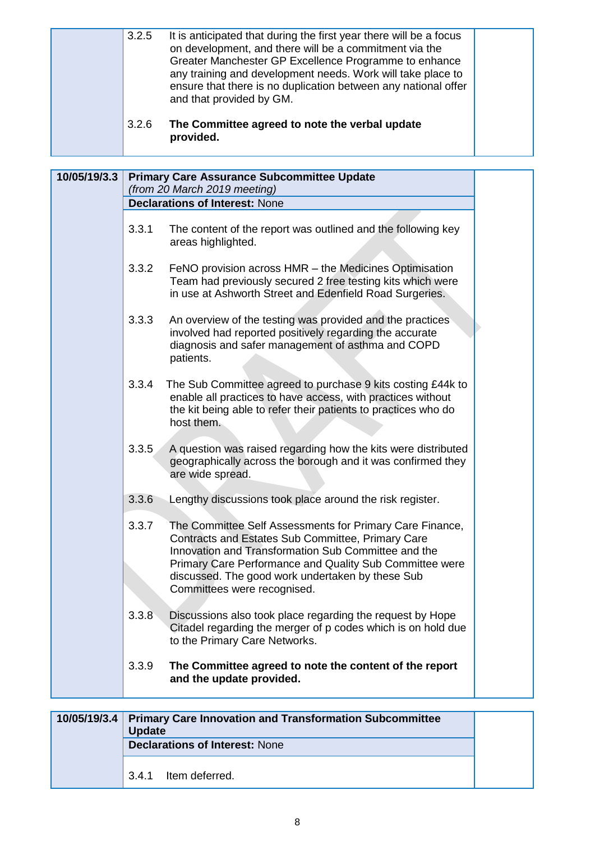|              | 3.2.5<br>3.2.6 | It is anticipated that during the first year there will be a focus<br>on development, and there will be a commitment via the<br>Greater Manchester GP Excellence Programme to enhance<br>any training and development needs. Work will take place to<br>ensure that there is no duplication between any national offer<br>and that provided by GM.<br>The Committee agreed to note the verbal update<br>provided. |  |
|--------------|----------------|-------------------------------------------------------------------------------------------------------------------------------------------------------------------------------------------------------------------------------------------------------------------------------------------------------------------------------------------------------------------------------------------------------------------|--|
|              |                |                                                                                                                                                                                                                                                                                                                                                                                                                   |  |
| 10/05/19/3.3 |                | <b>Primary Care Assurance Subcommittee Update</b>                                                                                                                                                                                                                                                                                                                                                                 |  |
|              |                | (from 20 March 2019 meeting)<br><b>Declarations of Interest: None</b>                                                                                                                                                                                                                                                                                                                                             |  |
|              |                |                                                                                                                                                                                                                                                                                                                                                                                                                   |  |
|              | 3.3.1          | The content of the report was outlined and the following key<br>areas highlighted.                                                                                                                                                                                                                                                                                                                                |  |
|              | 3.3.2          | FeNO provision across HMR - the Medicines Optimisation<br>Team had previously secured 2 free testing kits which were<br>in use at Ashworth Street and Edenfield Road Surgeries.                                                                                                                                                                                                                                   |  |
|              | 3.3.3          | An overview of the testing was provided and the practices<br>involved had reported positively regarding the accurate<br>diagnosis and safer management of asthma and COPD<br>patients.                                                                                                                                                                                                                            |  |
|              | 3.3.4          | The Sub Committee agreed to purchase 9 kits costing £44k to<br>enable all practices to have access, with practices without<br>the kit being able to refer their patients to practices who do<br>host them.                                                                                                                                                                                                        |  |
|              | 3.3.5          | A question was raised regarding how the kits were distributed<br>geographically across the borough and it was confirmed they<br>are wide spread.                                                                                                                                                                                                                                                                  |  |
|              | 3.3.6          | Lengthy discussions took place around the risk register.                                                                                                                                                                                                                                                                                                                                                          |  |
|              | 3.3.7          | The Committee Self Assessments for Primary Care Finance,<br>Contracts and Estates Sub Committee, Primary Care<br>Innovation and Transformation Sub Committee and the<br>Primary Care Performance and Quality Sub Committee were<br>discussed. The good work undertaken by these Sub<br>Committees were recognised.                                                                                                |  |
|              | 3.3.8          | Discussions also took place regarding the request by Hope<br>Citadel regarding the merger of p codes which is on hold due<br>to the Primary Care Networks.                                                                                                                                                                                                                                                        |  |
|              | 3.3.9          | The Committee agreed to note the content of the report<br>and the update provided.                                                                                                                                                                                                                                                                                                                                |  |
|              |                |                                                                                                                                                                                                                                                                                                                                                                                                                   |  |
| 10/05/19/3.4 | <b>Update</b>  | <b>Primary Care Innovation and Transformation Subcommittee</b>                                                                                                                                                                                                                                                                                                                                                    |  |
|              |                | <b>Declarations of Interest: None</b>                                                                                                                                                                                                                                                                                                                                                                             |  |

3.4.1 Item deferred.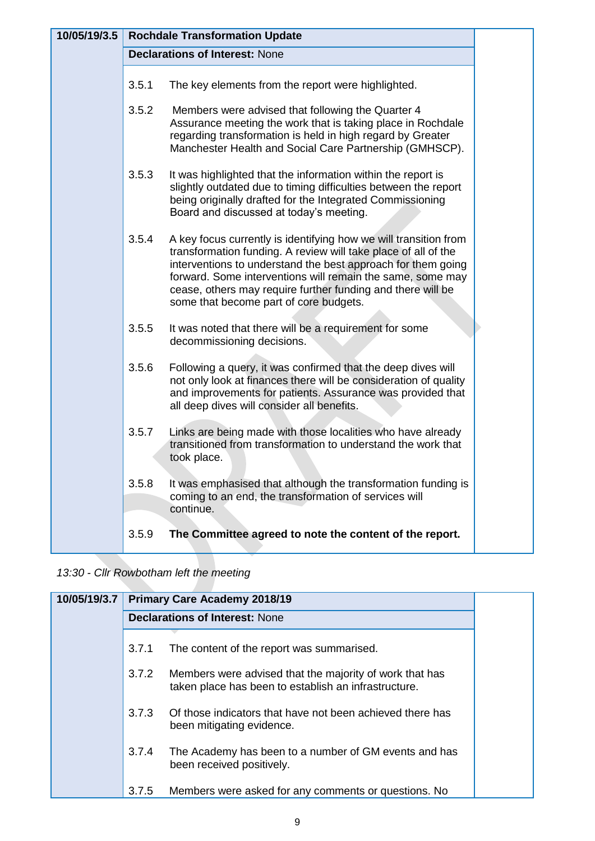| 10/05/19/3.5 |       | <b>Rochdale Transformation Update</b>                                                                                                                                                                                                                                                                                                                                     |
|--------------|-------|---------------------------------------------------------------------------------------------------------------------------------------------------------------------------------------------------------------------------------------------------------------------------------------------------------------------------------------------------------------------------|
|              |       | <b>Declarations of Interest: None</b>                                                                                                                                                                                                                                                                                                                                     |
|              | 3.5.1 | The key elements from the report were highlighted.                                                                                                                                                                                                                                                                                                                        |
|              | 3.5.2 | Members were advised that following the Quarter 4<br>Assurance meeting the work that is taking place in Rochdale<br>regarding transformation is held in high regard by Greater<br>Manchester Health and Social Care Partnership (GMHSCP).                                                                                                                                 |
|              | 3.5.3 | It was highlighted that the information within the report is<br>slightly outdated due to timing difficulties between the report<br>being originally drafted for the Integrated Commissioning<br>Board and discussed at today's meeting.                                                                                                                                   |
|              | 3.5.4 | A key focus currently is identifying how we will transition from<br>transformation funding. A review will take place of all of the<br>interventions to understand the best approach for them going<br>forward. Some interventions will remain the same, some may<br>cease, others may require further funding and there will be<br>some that become part of core budgets. |
|              | 3.5.5 | It was noted that there will be a requirement for some<br>decommissioning decisions.                                                                                                                                                                                                                                                                                      |
|              | 3.5.6 | Following a query, it was confirmed that the deep dives will<br>not only look at finances there will be consideration of quality<br>and improvements for patients. Assurance was provided that<br>all deep dives will consider all benefits.                                                                                                                              |
|              | 3.5.7 | Links are being made with those localities who have already<br>transitioned from transformation to understand the work that<br>took place.                                                                                                                                                                                                                                |
|              | 3.5.8 | It was emphasised that although the transformation funding is<br>coming to an end, the transformation of services will<br>continue.                                                                                                                                                                                                                                       |
|              | 3.5.9 | The Committee agreed to note the content of the report.                                                                                                                                                                                                                                                                                                                   |

*13:30 - Cllr Rowbotham left the meeting* 

| 10/05/19/3.7 |       | <b>Primary Care Academy 2018/19</b>                                                                             |  |  |
|--------------|-------|-----------------------------------------------------------------------------------------------------------------|--|--|
|              |       | <b>Declarations of Interest: None</b>                                                                           |  |  |
|              |       |                                                                                                                 |  |  |
|              | 3.7.1 | The content of the report was summarised.                                                                       |  |  |
|              | 3.7.2 | Members were advised that the majority of work that has<br>taken place has been to establish an infrastructure. |  |  |
|              | 3.7.3 | Of those indicators that have not been achieved there has<br>been mitigating evidence.                          |  |  |
|              | 3.7.4 | The Academy has been to a number of GM events and has<br>been received positively.                              |  |  |
|              | 3.7.5 | Members were asked for any comments or questions. No                                                            |  |  |